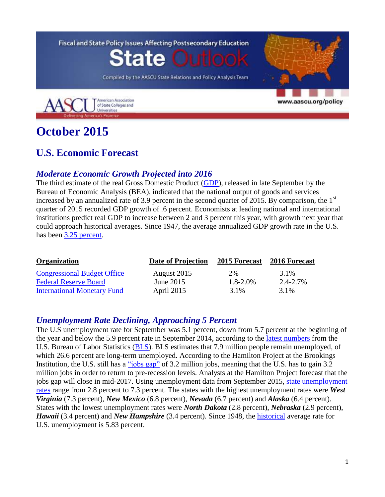

# **October 2015**

# **U.S. Economic Forecast**

#### *Moderate Economic Growth Projected into 2016*

The third estimate of the real Gross Domestic Product [\(GDP\)](http://www.bea.gov/newsreleases/national/gdp/gdpnewsrelease.htm), released in late September by the Bureau of Economic Analysis (BEA), indicated that the national output of goods and services increased by an annualized rate of 3.9 percent in the second quarter of 2015. By comparison, the  $1<sup>st</sup>$ quarter of 2015 recorded GDP growth of .6 percent. Economists at leading national and international institutions predict real GDP to increase between 2 and 3 percent this year, with growth next year that could approach historical averages. Since 1947, the average annualized GDP growth rate in the U.S. has been [3.25 percent.](http://www.tradingeconomics.com/united-states/gdp-growth)

| Organization                       | <b>Date of Projection</b> | 2015 Forecast | 2016 Forecast |  |
|------------------------------------|---------------------------|---------------|---------------|--|
| <b>Congressional Budget Office</b> | August 2015               | 2%            | 3.1%          |  |
| <b>Federal Reserve Board</b>       | June $2015$               | $1.8 - 2.0\%$ | 2.4-2.7%      |  |
| <b>International Monetary Fund</b> | April 2015                | 3.1%          | 3.1%          |  |

### *Unemployment Rate Declining, Approaching 5 Percent*

The U.S unemployment rate for September was 5.1 percent, down from 5.7 percent at the beginning of the year and below the 5.9 percent rate in September 2014, according to the [latest numbers](http://www.bls.gov/news.release/empsit.nr0.htm) from the U.S. Bureau of Labor Statistics [\(BLS\)](http://www.bls.gov/news.release/pdf/empsit.pdf). BLS estimates that 7.9 million people remain unemployed, of which 26.6 percent are long-term unemployed. According to the Hamilton Project at the Brookings Institution, the U.S. still has a ["jobs gap"](http://www.hamiltonproject.org/multimedia/charts/evolution_of_the_job_gap_and_possible_scenarios_for_growth/) of 3.2 million jobs, meaning that the U.S. has to gain 3.2 million jobs in order to return to pre-recession levels. Analysts at the Hamilton Project forecast that the jobs gap will close in mid-2017. Using unemployment data from September 2015, [state unemployment](http://www.bls.gov/web/laus/laumstrk.htm)  [rates](http://www.bls.gov/web/laus/laumstrk.htm) range from 2.8 percent to 7.3 percent. The states with the highest unemployment rates were *West Virginia* (7.3 percent), *New Mexico* (6.8 percent), *Nevada* (6.7 percent) and *Alaska* (6.4 percent). States with the lowest unemployment rates were *North Dakota* (2.8 percent), *Nebraska* (2.9 percent), *Hawaii* (3.4 percent) and *New Hampshire* (3.4 percent). Since 1948, the [historical](http://www.tradingeconomics.com/united-states/unemployment-rate) average rate for U.S. unemployment is 5.83 percent.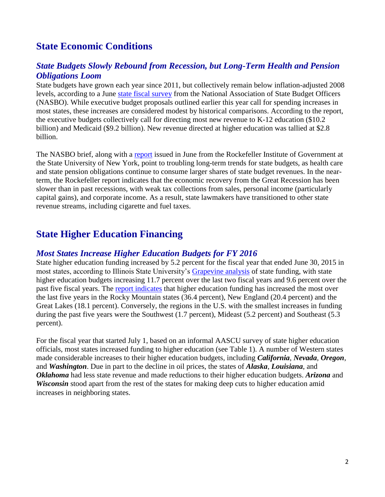# **State Economic Conditions**

#### *State Budgets Slowly Rebound from Recession, but Long-Term Health and Pension Obligations Loom*

State budgets have grown each year since 2011, but collectively remain below inflation-adjusted 2008 levels, according to a June [state fiscal survey](http://www.nasbo.org/sites/default/files/Report%20Summary%20-%20Spring%202015%20Fiscal%20Survey.pdf) from the National Association of State Budget Officers (NASBO). While executive budget proposals outlined earlier this year call for spending increases in most states, these increases are considered modest by historical comparisons. According to the report, the executive budgets collectively call for directing most new revenue to K-12 education (\$10.2 billion) and Medicaid (\$9.2 billion). New revenue directed at higher education was tallied at \$2.8 billion.

The NASBO brief, along with a [report](http://www.rockinst.org/pdf/government_finance/2015-06-23-Blinken_Report_Two.pdf) issued in June from the Rockefeller Institute of Government at the State University of New York, point to troubling long-term trends for state budgets, as health care and state pension obligations continue to consume larger shares of state budget revenues. In the nearterm, the Rockefeller report indicates that the economic recovery from the Great Recession has been slower than in past recessions, with weak tax collections from sales, personal income (particularly capital gains), and corporate income. As a result, state lawmakers have transitioned to other state revenue streams, including cigarette and fuel taxes.

# **State Higher Education Financing**

#### *Most States Increase Higher Education Budgets for FY 2016*

State higher education funding increased by 5.2 percent for the fiscal year that ended June 30, 2015 in most states, according to Illinois State University's [Grapevine analysis](http://education.illinoisstate.edu/grapevine/tables/Table2_GPV15.pdf) of state funding, with state higher education budgets increasing 11.7 percent over the last two fiscal years and 9.6 percent over the past five fiscal years. The [report indicates](http://education.illinoisstate.edu/grapevine/tables/Table3_GPV15.pdf) that higher education funding has increased the most over the last five years in the Rocky Mountain states (36.4 percent), New England (20.4 percent) and the Great Lakes (18.1 percent). Conversely, the regions in the U.S. with the smallest increases in funding during the past five years were the Southwest (1.7 percent), Mideast (5.2 percent) and Southeast (5.3 percent).

For the fiscal year that started July 1, based on an informal AASCU survey of state higher education officials, most states increased funding to higher education (see Table 1). A number of Western states made considerable increases to their higher education budgets, including *California*, *Nevada*, *Oregon*, and *Washington*. Due in part to the decline in oil prices, the states of *Alaska*, *Louisiana*, and *Oklahoma* had less state revenue and made reductions to their higher education budgets. *Arizona* and *Wisconsin* stood apart from the rest of the states for making deep cuts to higher education amid increases in neighboring states.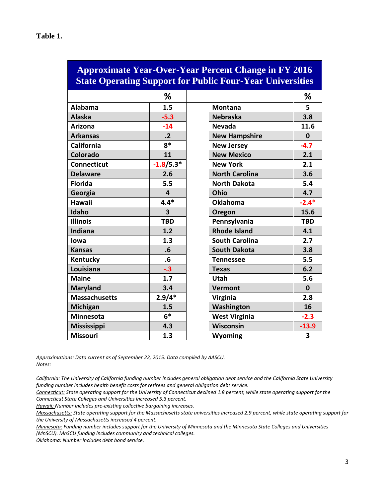| <b>Approximate Year-Over-Year Percent Change in FY 2016</b><br><b>State Operating Support for Public Four-Year Universities</b> |                         |                       |             |  |  |
|---------------------------------------------------------------------------------------------------------------------------------|-------------------------|-----------------------|-------------|--|--|
|                                                                                                                                 | ℅                       |                       | ℅           |  |  |
| <b>Alabama</b>                                                                                                                  | 1.5                     | <b>Montana</b>        | 5           |  |  |
| <b>Alaska</b>                                                                                                                   | $-5.3$                  | <b>Nebraska</b>       | 3.8         |  |  |
| <b>Arizona</b>                                                                                                                  | $-14$                   | <b>Nevada</b>         | 11.6        |  |  |
| <b>Arkansas</b>                                                                                                                 | $\cdot$ .2              | <b>New Hampshire</b>  | $\mathbf 0$ |  |  |
| <b>California</b>                                                                                                               | $8*$                    | <b>New Jersey</b>     | $-4.7$      |  |  |
| Colorado                                                                                                                        | 11                      | <b>New Mexico</b>     | 2.1         |  |  |
| <b>Connecticut</b>                                                                                                              | $-1.8/5.3*$             | <b>New York</b>       | 2.1         |  |  |
| <b>Delaware</b>                                                                                                                 | 2.6                     | <b>North Carolina</b> | 3.6         |  |  |
| <b>Florida</b>                                                                                                                  | 5.5                     | <b>North Dakota</b>   | 5.4         |  |  |
| Georgia                                                                                                                         | 4                       | Ohio                  | 4.7         |  |  |
| <b>Hawaii</b>                                                                                                                   | $4.4*$                  | <b>Oklahoma</b>       | $-2.4*$     |  |  |
| Idaho                                                                                                                           | $\overline{\mathbf{3}}$ | Oregon                | 15.6        |  |  |
| <b>Illinois</b>                                                                                                                 | <b>TBD</b>              | Pennsylvania          | <b>TBD</b>  |  |  |
| Indiana                                                                                                                         | 1.2                     | <b>Rhode Island</b>   | 4.1         |  |  |
| lowa                                                                                                                            | 1.3                     | <b>South Carolina</b> | 2.7         |  |  |
| <b>Kansas</b>                                                                                                                   | .6                      | <b>South Dakota</b>   | 3.8         |  |  |
| Kentucky                                                                                                                        | .6                      | <b>Tennessee</b>      | 5.5         |  |  |
| Louisiana                                                                                                                       | $-.3$                   | <b>Texas</b>          | 6.2         |  |  |
| <b>Maine</b>                                                                                                                    | 1.7                     | Utah                  | 5.6         |  |  |
| <b>Maryland</b>                                                                                                                 | 3.4                     | <b>Vermont</b>        | $\Omega$    |  |  |
| <b>Massachusetts</b>                                                                                                            | $2.9/4*$                | Virginia              | 2.8         |  |  |
| Michigan                                                                                                                        | 1.5                     | Washington            | 16          |  |  |
| <b>Minnesota</b>                                                                                                                | $6*$                    | <b>West Virginia</b>  | $-2.3$      |  |  |
| <b>Mississippi</b>                                                                                                              | 4.3                     | Wisconsin             | $-13.9$     |  |  |
| <b>Missouri</b>                                                                                                                 | 1.3                     | <b>Wyoming</b>        | 3           |  |  |

*Approximations: Data current as of September 22, 2015. Data compiled by AASCU. Notes:* 

*Connecticut: State operating support for the University of Connecticut declined 1.8 percent, while state operating support for the Connecticut State Colleges and Universities increased 5.3 percent.* 

*Hawaii: Number includes pre-existing collective bargaining increases.* 

*Minnesota: Funding number includes support for the University of Minnesota and the Minnesota State Colleges and Universities (MnSCU). MnSCU funding includes community and technical colleges.* 

*Oklahoma: Number includes debt bond service.* 

*California: The University of California funding number includes general obligation debt service and the California State University funding number includes health benefit costs for retirees and general obligation debt service.* 

*Massachusetts: State operating support for the Massachusetts state universities increased 2.9 percent, while state operating support for the University of Massachusetts increased 4 percent.*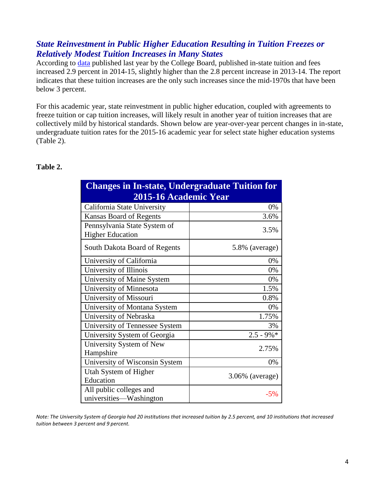### *State Reinvestment in Public Higher Education Resulting in Tuition Freezes or Relatively Modest Tuition Increases in Many States*

According to [data](http://trends.collegeboard.org/college-pricing) published last year by the College Board, published in-state tuition and fees increased 2.9 percent in 2014-15, slightly higher than the 2.8 percent increase in 2013-14. The report indicates that these tuition increases are the only such increases since the mid-1970s that have been below 3 percent.

For this academic year, state reinvestment in public higher education, coupled with agreements to freeze tuition or cap tuition increases, will likely result in another year of tuition increases that are collectively mild by historical standards. Shown below are year-over-year percent changes in in-state, undergraduate tuition rates for the 2015-16 academic year for select state higher education systems (Table 2).

#### **Table 2.**

| <b>Changes in In-state, Undergraduate Tuition for</b> |                    |  |  |  |
|-------------------------------------------------------|--------------------|--|--|--|
| 2015-16 Academic Year                                 |                    |  |  |  |
| California State University                           | 0%                 |  |  |  |
| <b>Kansas Board of Regents</b>                        | 3.6%               |  |  |  |
| Pennsylvania State System of                          | 3.5%               |  |  |  |
| <b>Higher Education</b>                               |                    |  |  |  |
| South Dakota Board of Regents                         | 5.8% (average)     |  |  |  |
| University of California                              | 0%                 |  |  |  |
| University of Illinois                                | 0%                 |  |  |  |
| University of Maine System                            | 0%                 |  |  |  |
| University of Minnesota                               | 1.5%               |  |  |  |
| University of Missouri                                | 0.8%               |  |  |  |
| University of Montana System                          | 0%                 |  |  |  |
| University of Nebraska                                | 1.75%              |  |  |  |
| University of Tennessee System                        | 3%                 |  |  |  |
| University System of Georgia                          | $2.5 - 9\% *$      |  |  |  |
| University System of New                              | 2.75%              |  |  |  |
| Hampshire                                             |                    |  |  |  |
| University of Wisconsin System                        | 0%                 |  |  |  |
| Utah System of Higher                                 |                    |  |  |  |
| Education                                             | $3.06\%$ (average) |  |  |  |
| All public colleges and                               | $-5%$              |  |  |  |
| universities—Washington                               |                    |  |  |  |

*Note: The University System of Georgia had 20 institutions that increased tuition by 2.5 percent, and 10 institutions that increased tuition between 3 percent and 9 percent.*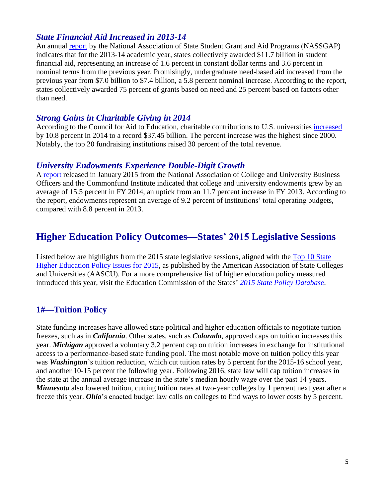#### *State Financial Aid Increased in 2013-14*

An annual [report](http://www.nassgap.org/document_download.aspx?documentID=1094) by the National Association of State Student Grant and Aid Programs (NASSGAP) indicates that for the 2013-14 academic year, states collectively awarded \$11.7 billion in student financial aid, representing an increase of 1.6 percent in constant dollar terms and 3.6 percent in nominal terms from the previous year. Promisingly, undergraduate need-based aid increased from the previous year from \$7.0 billion to \$7.4 billion, a 5.8 percent nominal increase. According to the report, states collectively awarded 75 percent of grants based on need and 25 percent based on factors other than need.

#### *Strong Gains in Charitable Giving in 2014*

According to the Council for Aid to Education, charitable contributions to U.S. universities [increased](http://cae.org/images/uploads/pdf/VSE-2014-Press-Release.pdf) by 10.8 percent in 2014 to a record \$37.45 billion. The percent increase was the highest since 2000. Notably, the top 20 fundraising institutions raised 30 percent of the total revenue.

#### *University Endowments Experience Double-Digit Growth*

A [report](http://www.nacubo.org/About_NACUBO/Press_Room/2014_NACUBO-Commonfund_Study_of_Endowments_(Final_Data).html) released in January 2015 from the National Association of College and University Business Officers and the Commonfund Institute indicated that college and university endowments grew by an average of 15.5 percent in FY 2014, an uptick from an 11.7 percent increase in FY 2013. According to the report, endowments represent an average of 9.2 percent of institutions' total operating budgets, compared with 8.8 percent in 2013.

### **Higher Education Policy Outcomes—States' 2015 Legislative Sessions**

Listed below are highlights from the 2015 state legislative sessions, aligned with the [Top 10 State](http://www.aascu.org/policy/publications/policy-matters/Top10StatePolicyIssues2015.pdf)  [Higher Education Policy Issues for 2015,](http://www.aascu.org/policy/publications/policy-matters/Top10StatePolicyIssues2015.pdf) as published by the American Association of State Colleges and Universities (AASCU). For a more comprehensive list of higher education policy measured introduced this year, visit the Education Commission of the States' *[2015 State Policy Database](http://b5.caspio.com/dp.asp?AppKey=b7f930003204329dff2e4cf1af9e&yr=2015)*.

### **1#—Tuition Policy**

State funding increases have allowed state political and higher education officials to negotiate tuition freezes, such as in *California*. Other states, such as *Colorado*, approved caps on tuition increases this year. *Michigan* approved a voluntary 3.2 percent cap on tuition increases in exchange for institutional access to a performance-based state funding pool. The most notable move on tuition policy this year was *Washington*'s tuition reduction, which cut tuition rates by 5 percent for the 2015-16 school year, and another 10-15 percent the following year. Following 2016, state law will cap tuition increases in the state at the annual average increase in the state's median hourly wage over the past 14 years. *Minnesota* also lowered tuition, cutting tuition rates at two-year colleges by 1 percent next year after a freeze this year. *Ohio*'s enacted budget law calls on colleges to find ways to lower costs by 5 percent.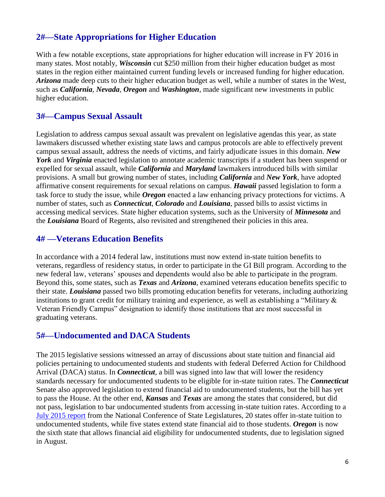### **2#—State Appropriations for Higher Education**

With a few notable exceptions, state appropriations for higher education will increase in FY 2016 in many states. Most notably, *Wisconsin* cut \$250 million from their higher education budget as most states in the region either maintained current funding levels or increased funding for higher education. *Arizona* made deep cuts to their higher education budget as well, while a number of states in the West, such as *California*, *Nevada*, *Oregon* and *Washington*, made significant new investments in public higher education.

#### **3#—Campus Sexual Assault**

Legislation to address campus sexual assault was prevalent on legislative agendas this year, as state lawmakers discussed whether existing state laws and campus protocols are able to effectively prevent campus sexual assault, address the needs of victims, and fairly adjudicate issues in this domain. *New York* and *Virginia* enacted legislation to annotate academic transcripts if a student has been suspend or expelled for sexual assault, while *California* and *Maryland* lawmakers introduced bills with similar provisions. A small but growing number of states, including *California* and *New York*, have adopted affirmative consent requirements for sexual relations on campus. *Hawaii* passed legislation to form a task force to study the issue, while *Oregon* enacted a law enhancing privacy protections for victims. A number of states, such as *Connecticut*, *Colorado* and *Louisiana*, passed bills to assist victims in accessing medical services. State higher education systems, such as the University of *Minnesota* and the *Louisiana* Board of Regents, also revisited and strengthened their policies in this area.

### **4# —Veterans Education Benefits**

In accordance with a 2014 federal law, institutions must now extend in-state tuition benefits to veterans, regardless of residency status, in order to participate in the GI Bill program. According to the new federal law, veterans' spouses and dependents would also be able to participate in the program. Beyond this, some states, such as *Texas* and *Arizona*, examined veterans education benefits specific to their state. *Louisiana* passed two bills promoting education benefits for veterans, including authorizing institutions to grant credit for military training and experience, as well as establishing a "Military & Veteran Friendly Campus" designation to identify those institutions that are most successful in graduating veterans.

### **5#—Undocumented and DACA Students**

The 2015 legislative sessions witnessed an array of discussions about state tuition and financial aid policies pertaining to undocumented students and students with federal Deferred Action for Childhood Arrival (DACA) status. In *Connecticut*, a bill was signed into law that will lower the residency standards necessary for undocumented students to be eligible for in-state tuition rates. The *Connecticut* Senate also approved legislation to extend financial aid to undocumented students, but the bill has yet to pass the House. At the other end, *Kansas* and *Texas* are among the states that considered, but did not pass, legislation to bar undocumented students from accessing in-state tuition rates. According to a [July 2015 report](http://www.ncsl.org/research/immigration/tuition-benefits-for-immigrants.aspx) from the National Conference of State Legislatures, 20 states offer in-state tuition to undocumented students, while five states extend state financial aid to those students. *Oregon* is now the sixth state that allows financial aid eligibility for undocumented students, due to legislation signed in August.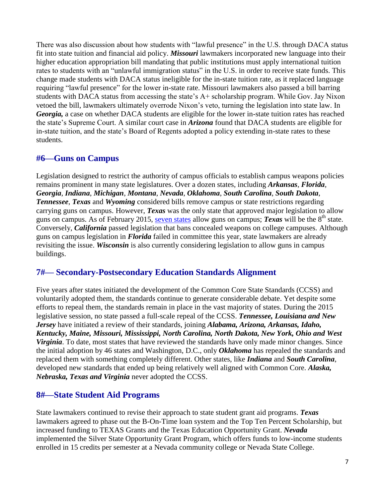There was also discussion about how students with "lawful presence" in the U.S. through DACA status fit into state tuition and financial aid policy. *Missouri* lawmakers incorporated new language into their higher education appropriation bill mandating that public institutions must apply international tuition rates to students with an "unlawful immigration status" in the U.S. in order to receive state funds. This change made students with DACA status ineligible for the in-state tuition rate, as it replaced language requiring "lawful presence" for the lower in-state rate. Missouri lawmakers also passed a bill barring students with DACA status from accessing the state's A+ scholarship program. While Gov. Jay Nixon vetoed the bill, lawmakers ultimately overrode Nixon's veto, turning the legislation into state law. In *Georgia,* a case on whether DACA students are eligible for the lower in-state tuition rates has reached the state's Supreme Court. A similar court case in *Arizona* found that DACA students are eligible for in-state tuition, and the state's Board of Regents adopted a policy extending in-state rates to these students.

### **#6—Guns on Campus**

Legislation designed to restrict the authority of campus officials to establish campus weapons policies remains prominent in many state legislatures. Over a dozen states, including *Arkansas*, *Florida*, *Georgia*, *Indiana*, *Michigan*, *Montana*, *Nevada*, *Oklahoma*, *South Carolina*, *South Dakota*, *Tennessee*, *Texas* and *Wyoming* considered bills remove campus or state restrictions regarding carrying guns on campus. However, *Texas* was the only state that approved major legislation to allow guns on campus. As of February 2015, [seven states](http://www.ncsl.org/research/education/guns-on-campus-overview.aspx) allow guns on campus; *Texas* will be the 8<sup>th</sup> state. Conversely, *California* passed legislation that bans concealed weapons on college campuses. Although guns on campus legislation in *Florida* failed in committee this year, state lawmakers are already revisiting the issue. *Wisconsin* is also currently considering legislation to allow guns in campus buildings.

### **7#— Secondary-Postsecondary Education Standards Alignment**

Five years after states initiated the development of the Common Core State Standards (CCSS) and voluntarily adopted them, the standards continue to generate considerable debate. Yet despite some efforts to repeal them, the standards remain in place in the vast majority of states. During the 2015 legislative session, no state passed a full-scale repeal of the CCSS. *Tennessee, Louisiana and New Jersey* have initiated a review of their standards, joining *Alabama, Arizona, Arkansas, Idaho, Kentucky, Maine, Missouri, Mississippi, North Carolina, North Dakota, New York, Ohio and West Virginia*. To date, most states that have reviewed the standards have only made minor changes. Since the initial adoption by 46 states and Washington, D.C., only *Oklahoma* has repealed the standards and replaced them with something completely different. Other states, like *Indiana* and *South Carolina*, developed new standards that ended up being relatively well aligned with Common Core. *Alaska, Nebraska, Texas and Virginia* never adopted the CCSS.

### **8#—State Student Aid Programs**

State lawmakers continued to revise their approach to state student grant aid programs. *Texas*  lawmakers agreed to phase out the B-On-Time loan system and the Top Ten Percent Scholarship, but increased funding to TEXAS Grants and the Texas Education Opportunity Grant. *Nevada* implemented the Silver State Opportunity Grant Program, which offers funds to low-income students enrolled in 15 credits per semester at a Nevada community college or Nevada State College.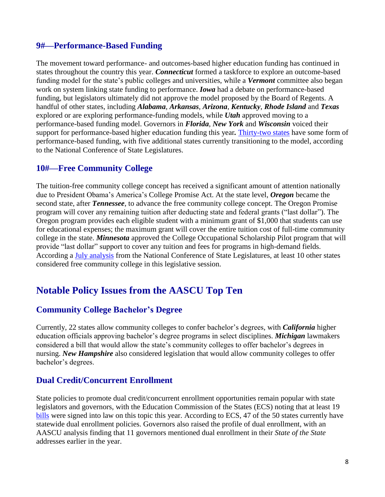#### **9#—Performance-Based Funding**

The movement toward performance- and outcomes-based higher education funding has continued in states throughout the country this year. *Connecticut* formed a taskforce to explore an outcome-based funding model for the state's public colleges and universities, while a *Vermont* committee also began work on system linking state funding to performance. *Iowa* had a debate on performance-based funding, but legislators ultimately did not approve the model proposed by the Board of Regents. A handful of other states, including *Alabama*, *Arkansas*, *Arizona*, *Kentucky*, *Rhode Island* and *Texas* explored or are exploring performance-funding models, while *Utah* approved moving to a performance-based funding model. Governors in *Florida*, *New York* and *Wisconsin* voiced their support for performance-based higher education funding this year*.* [Thirty-two states](http://www.ncsl.org/research/education/performance-funding.aspx) have some form of performance-based funding, with five additional states currently transitioning to the model, according to the National Conference of State Legislatures.

#### **10#—Free Community College**

The tuition-free community college concept has received a significant amount of attention nationally due to President Obama's America's College Promise Act. At the state level, *Oregon* became the second state, after *Tennessee*, to advance the free community college concept. The Oregon Promise program will cover any remaining tuition after deducting state and federal grants ("last dollar"). The Oregon program provides each eligible student with a minimum grant of \$1,000 that students can use for educational expenses; the maximum grant will cover the entire tuition cost of full-time community college in the state. *Minnesota* approved the College Occupational Scholarship Pilot program that will provide "last dollar" support to cover any tuition and fees for programs in high-demand fields. According a [July analysis](http://www.ncsl.org/research/education/free-community-college.aspx) from the National Conference of State Legislatures, at least 10 other states considered free community college in this legislative session.

## **Notable Policy Issues from the AASCU Top Ten**

### **Community College Bachelor's Degree**

Currently, 22 states allow community colleges to confer bachelor's degrees, with *California* higher education officials approving bachelor's degree programs in select disciplines. *Michigan* lawmakers considered a bill that would allow the state's community colleges to offer bachelor's degrees in nursing. *New Hampshire* also considered legislation that would allow community colleges to offer bachelor's degrees.

#### **Dual Credit/Concurrent Enrollment**

State policies to promote dual credit/concurrent enrollment opportunities remain popular with state legislators and governors, with the Education Commission of the States (ECS) noting that at least 19 [bills](http://b5.caspio.com/dp.asp?AppKey=b7f93000695b3d0d5abb4b68bd14&id=a0y70000000Cbp8AAC) were signed into law on this topic this year. According to ECS, 47 of the 50 states currently have statewide dual enrollment policies. Governors also raised the profile of dual enrollment, with an AASCU analysis finding that 11 governors mentioned dual enrollment in their *State of the State* addresses earlier in the year.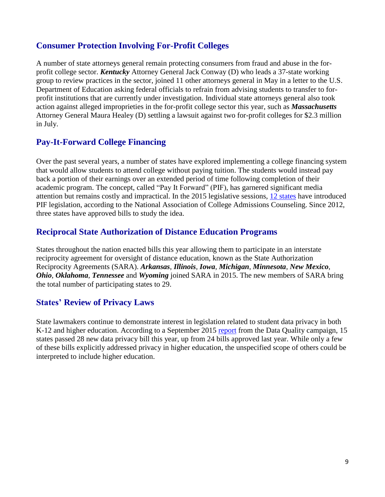### **Consumer Protection Involving For-Profit Colleges**

A number of state attorneys general remain protecting consumers from fraud and abuse in the forprofit college sector. *Kentucky* Attorney General Jack Conway (D) who leads a 37-state working group to review practices in the sector, joined 11 other attorneys general in May in a letter to the U.S. Department of Education asking federal officials to refrain from advising students to transfer to forprofit institutions that are currently under investigation. Individual state attorneys general also took action against alleged improprieties in the for-profit college sector this year, such as *Massachusetts*  Attorney General Maura Healey (D) settling a lawsuit against two for-profit colleges for \$2.3 million in July.

### **Pay-It-Forward College Financing**

Over the past several years, a number of states have explored implementing a college financing system that would allow students to attend college without paying tuition. The students would instead pay back a portion of their earnings over an extended period of time following completion of their academic program. The concept, called "Pay It Forward" (PIF), has garnered significant media attention but remains costly and impractical. In the 2015 legislative sessions, [12 states](http://www.nacacnet.org/issues-action/LegislativeNews/Pages/Pay-It-Forward.aspx) have introduced PIF legislation, according to the National Association of College Admissions Counseling. Since 2012, three states have approved bills to study the idea.

#### **Reciprocal State Authorization of Distance Education Programs**

States throughout the nation enacted bills this year allowing them to participate in an interstate reciprocity agreement for oversight of distance education, known as the State Authorization Reciprocity Agreements (SARA). *Arkansas*, *Illinois*, *Iowa*, *Michigan*, *Minnesota*, *New Mexico*, *Ohio*, *Oklahoma*, *Tennessee* and *Wyoming* joined SARA in 2015. The new members of SARA bring the total number of participating states to 29.

### **States' Review of Privacy Laws**

State lawmakers continue to demonstrate interest in legislation related to student data privacy in both K-12 and higher education. According to a September 2015 [report](http://dataqualitycampaign.org/wp-content/uploads/2015/09/DQC-Student-Data-Laws-2015-Sept23.pdf) from the Data Quality campaign, 15 states passed 28 new data privacy bill this year, up from 24 bills approved last year. While only a few of these bills explicitly addressed privacy in higher education, the unspecified scope of others could be interpreted to include higher education.